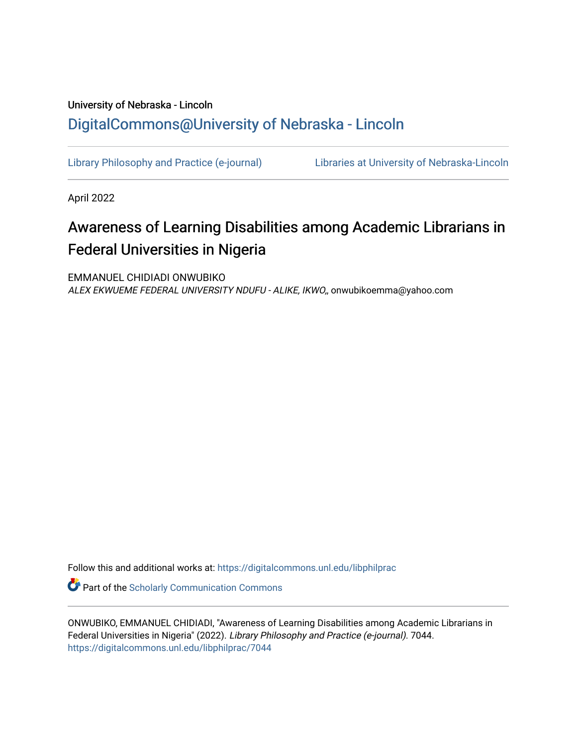## University of Nebraska - Lincoln [DigitalCommons@University of Nebraska - Lincoln](https://digitalcommons.unl.edu/)

[Library Philosophy and Practice \(e-journal\)](https://digitalcommons.unl.edu/libphilprac) [Libraries at University of Nebraska-Lincoln](https://digitalcommons.unl.edu/libraries) 

April 2022

# Awareness of Learning Disabilities among Academic Librarians in Federal Universities in Nigeria

EMMANUEL CHIDIADI ONWUBIKO ALEX EKWUEME FEDERAL UNIVERSITY NDUFU - ALIKE, IKWO,, onwubikoemma@yahoo.com

Follow this and additional works at: [https://digitalcommons.unl.edu/libphilprac](https://digitalcommons.unl.edu/libphilprac?utm_source=digitalcommons.unl.edu%2Flibphilprac%2F7044&utm_medium=PDF&utm_campaign=PDFCoverPages) 

**C** Part of the Scholarly Communication Commons

ONWUBIKO, EMMANUEL CHIDIADI, "Awareness of Learning Disabilities among Academic Librarians in Federal Universities in Nigeria" (2022). Library Philosophy and Practice (e-journal). 7044. [https://digitalcommons.unl.edu/libphilprac/7044](https://digitalcommons.unl.edu/libphilprac/7044?utm_source=digitalcommons.unl.edu%2Flibphilprac%2F7044&utm_medium=PDF&utm_campaign=PDFCoverPages)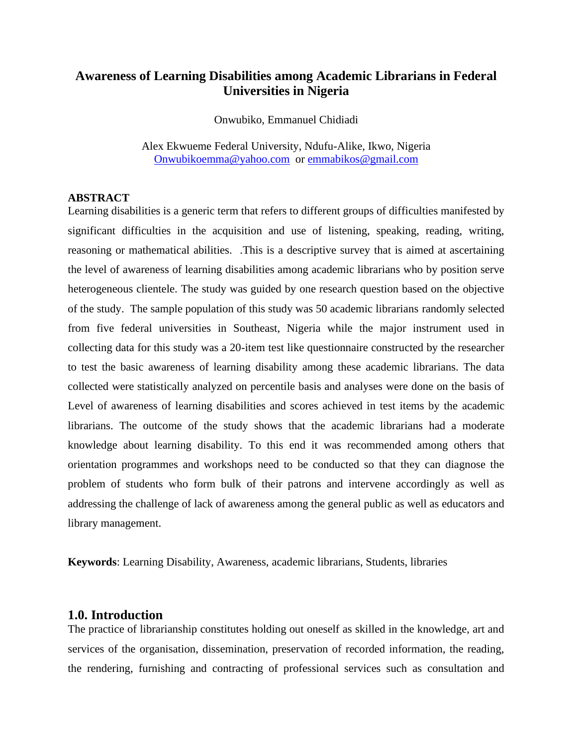## **Awareness of Learning Disabilities among Academic Librarians in Federal Universities in Nigeria**

Onwubiko, Emmanuel Chidiadi

Alex Ekwueme Federal University, Ndufu-Alike, Ikwo, Nigeria [Onwubikoemma@yahoo.com](mailto:Onwubikoemma@yahoo.com) or [emmabikos@gmail.com](mailto:emmabikos@gmail.com)

#### **ABSTRACT**

Learning disabilities is a generic term that refers to different groups of difficulties manifested by significant difficulties in the acquisition and use of listening, speaking, reading, writing, reasoning or mathematical abilities. .This is a descriptive survey that is aimed at ascertaining the level of awareness of learning disabilities among academic librarians who by position serve heterogeneous clientele. The study was guided by one research question based on the objective of the study. The sample population of this study was 50 academic librarians randomly selected from five federal universities in Southeast, Nigeria while the major instrument used in collecting data for this study was a 20-item test like questionnaire constructed by the researcher to test the basic awareness of learning disability among these academic librarians. The data collected were statistically analyzed on percentile basis and analyses were done on the basis of Level of awareness of learning disabilities and scores achieved in test items by the academic librarians. The outcome of the study shows that the academic librarians had a moderate knowledge about learning disability. To this end it was recommended among others that orientation programmes and workshops need to be conducted so that they can diagnose the problem of students who form bulk of their patrons and intervene accordingly as well as addressing the challenge of lack of awareness among the general public as well as educators and library management.

**Keywords**: Learning Disability, Awareness, academic librarians, Students, libraries

#### **1.0. Introduction**

The practice of librarianship constitutes holding out oneself as skilled in the knowledge, art and services of the organisation, dissemination, preservation of recorded information, the reading, the rendering, furnishing and contracting of professional services such as consultation and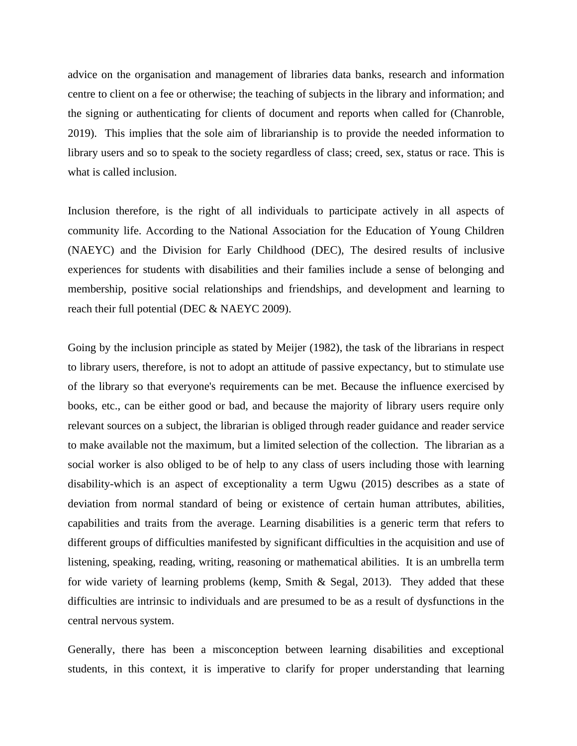advice on the organisation and management of libraries data banks, research and information centre to client on a fee or otherwise; the teaching of subjects in the library and information; and the signing or authenticating for clients of document and reports when called for (Chanroble, 2019). This implies that the sole aim of librarianship is to provide the needed information to library users and so to speak to the society regardless of class; creed, sex, status or race. This is what is called inclusion.

Inclusion therefore, is the right of all individuals to participate actively in all aspects of community life. According to the National Association for the Education of Young Children (NAEYC) and the Division for Early Childhood (DEC), The desired results of inclusive experiences for students with disabilities and their families include a sense of belonging and membership, positive social relationships and friendships, and development and learning to reach their full potential (DEC & NAEYC 2009).

Going by the inclusion principle as stated by Meijer (1982), the task of the librarians in respect to library users, therefore, is not to adopt an attitude of passive expectancy, but to stimulate use of the library so that everyone's requirements can be met. Because the influence exercised by books, etc., can be either good or bad, and because the majority of library users require only relevant sources on a subject, the librarian is obliged through reader guidance and reader service to make available not the maximum, but a limited selection of the collection. The librarian as a social worker is also obliged to be of help to any class of users including those with learning disability-which is an aspect of exceptionality a term Ugwu (2015) describes as a state of deviation from normal standard of being or existence of certain human attributes, abilities, capabilities and traits from the average. Learning disabilities is a generic term that refers to different groups of difficulties manifested by significant difficulties in the acquisition and use of listening, speaking, reading, writing, reasoning or mathematical abilities. It is an umbrella term for wide variety of learning problems (kemp, Smith & Segal, 2013). They added that these difficulties are intrinsic to individuals and are presumed to be as a result of dysfunctions in the central nervous system.

Generally, there has been a misconception between learning disabilities and exceptional students, in this context, it is imperative to clarify for proper understanding that learning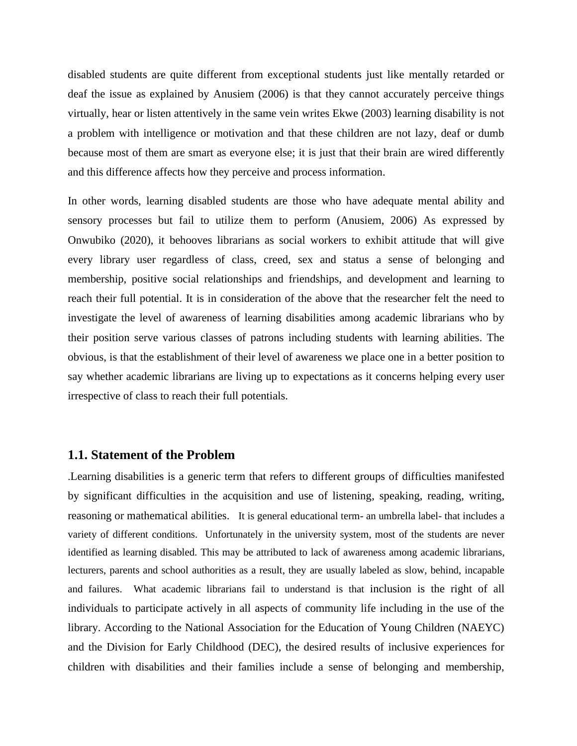disabled students are quite different from exceptional students just like mentally retarded or deaf the issue as explained by Anusiem (2006) is that they cannot accurately perceive things virtually, hear or listen attentively in the same vein writes Ekwe (2003) learning disability is not a problem with intelligence or motivation and that these children are not lazy, deaf or dumb because most of them are smart as everyone else; it is just that their brain are wired differently and this difference affects how they perceive and process information.

In other words, learning disabled students are those who have adequate mental ability and sensory processes but fail to utilize them to perform (Anusiem, 2006) As expressed by Onwubiko (2020), it behooves librarians as social workers to exhibit attitude that will give every library user regardless of class, creed, sex and status a sense of belonging and membership, positive social relationships and friendships, and development and learning to reach their full potential. It is in consideration of the above that the researcher felt the need to investigate the level of awareness of learning disabilities among academic librarians who by their position serve various classes of patrons including students with learning abilities. The obvious, is that the establishment of their level of awareness we place one in a better position to say whether academic librarians are living up to expectations as it concerns helping every user irrespective of class to reach their full potentials.

### **1.1. Statement of the Problem**

.Learning disabilities is a generic term that refers to different groups of difficulties manifested by significant difficulties in the acquisition and use of listening, speaking, reading, writing, reasoning or mathematical abilities. It is general educational term- an umbrella label- that includes a variety of different conditions. Unfortunately in the university system, most of the students are never identified as learning disabled. This may be attributed to lack of awareness among academic librarians, lecturers, parents and school authorities as a result, they are usually labeled as slow, behind, incapable and failures. What academic librarians fail to understand is that inclusion is the right of all individuals to participate actively in all aspects of community life including in the use of the library. According to the National Association for the Education of Young Children (NAEYC) and the Division for Early Childhood (DEC), the desired results of inclusive experiences for children with disabilities and their families include a sense of belonging and membership,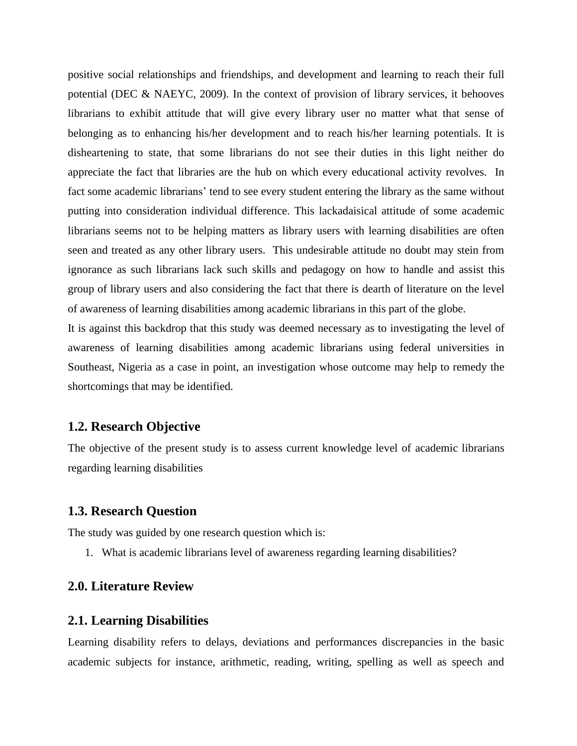positive social relationships and friendships, and development and learning to reach their full potential (DEC & NAEYC, 2009). In the context of provision of library services, it behooves librarians to exhibit attitude that will give every library user no matter what that sense of belonging as to enhancing his/her development and to reach his/her learning potentials. It is disheartening to state, that some librarians do not see their duties in this light neither do appreciate the fact that libraries are the hub on which every educational activity revolves. In fact some academic librarians' tend to see every student entering the library as the same without putting into consideration individual difference. This lackadaisical attitude of some academic librarians seems not to be helping matters as library users with learning disabilities are often seen and treated as any other library users. This undesirable attitude no doubt may stein from ignorance as such librarians lack such skills and pedagogy on how to handle and assist this group of library users and also considering the fact that there is dearth of literature on the level of awareness of learning disabilities among academic librarians in this part of the globe.

It is against this backdrop that this study was deemed necessary as to investigating the level of awareness of learning disabilities among academic librarians using federal universities in Southeast, Nigeria as a case in point, an investigation whose outcome may help to remedy the shortcomings that may be identified.

#### **1.2. Research Objective**

The objective of the present study is to assess current knowledge level of academic librarians regarding learning disabilities

#### **1.3. Research Question**

The study was guided by one research question which is:

1. What is academic librarians level of awareness regarding learning disabilities?

#### **2.0. Literature Review**

#### **2.1. Learning Disabilities**

Learning disability refers to delays, deviations and performances discrepancies in the basic academic subjects for instance, arithmetic, reading, writing, spelling as well as speech and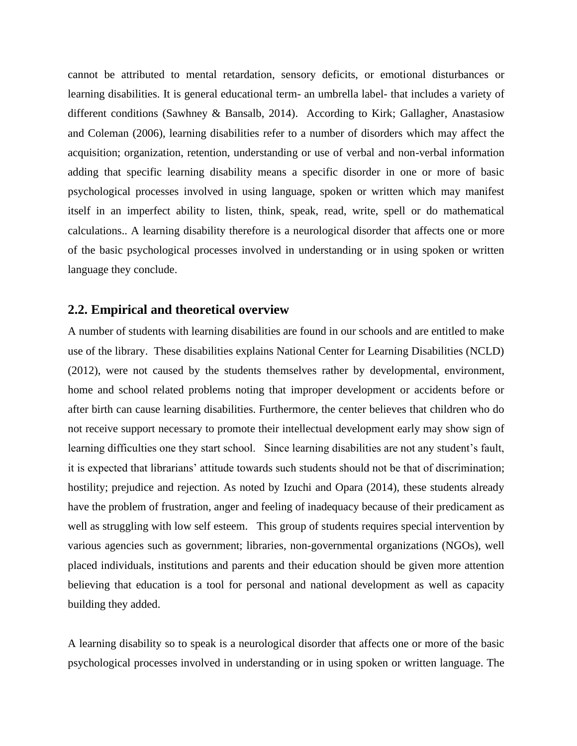cannot be attributed to mental retardation, sensory deficits, or emotional disturbances or learning disabilities. It is general educational term- an umbrella label- that includes a variety of different conditions (Sawhney & Bansalb, 2014). According to Kirk; Gallagher, Anastasiow and Coleman (2006), learning disabilities refer to a number of disorders which may affect the acquisition; organization, retention, understanding or use of verbal and non-verbal information adding that specific learning disability means a specific disorder in one or more of basic psychological processes involved in using language, spoken or written which may manifest itself in an imperfect ability to listen, think, speak, read, write, spell or do mathematical calculations.. A learning disability therefore is a neurological disorder that affects one or more of the basic psychological processes involved in understanding or in using spoken or written language they conclude.

#### **2.2. Empirical and theoretical overview**

A number of students with learning disabilities are found in our schools and are entitled to make use of the library. These disabilities explains National Center for Learning Disabilities (NCLD) (2012), were not caused by the students themselves rather by developmental, environment, home and school related problems noting that improper development or accidents before or after birth can cause learning disabilities. Furthermore, the center believes that children who do not receive support necessary to promote their intellectual development early may show sign of learning difficulties one they start school. Since learning disabilities are not any student's fault, it is expected that librarians' attitude towards such students should not be that of discrimination; hostility; prejudice and rejection. As noted by Izuchi and Opara (2014), these students already have the problem of frustration, anger and feeling of inadequacy because of their predicament as well as struggling with low self esteem. This group of students requires special intervention by various agencies such as government; libraries, non-governmental organizations (NGOs), well placed individuals, institutions and parents and their education should be given more attention believing that education is a tool for personal and national development as well as capacity building they added.

A learning disability so to speak is a neurological disorder that affects one or more of the basic psychological processes involved in understanding or in using spoken or written language. The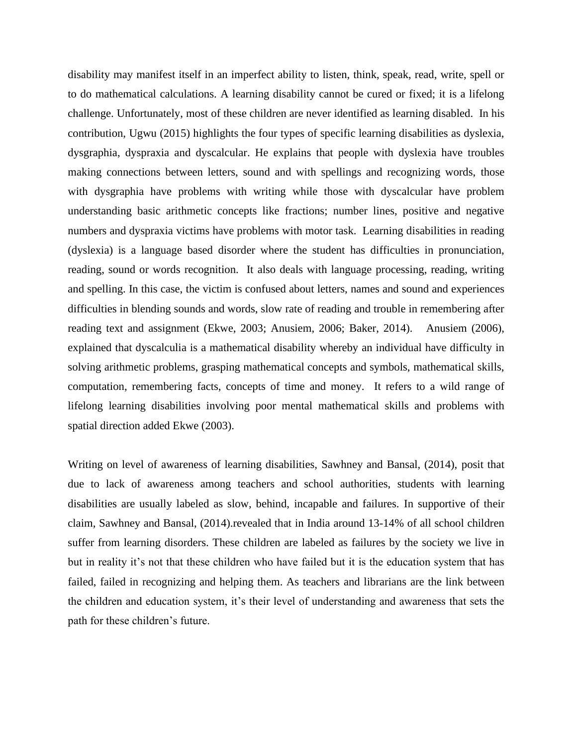disability may manifest itself in an imperfect ability to listen, think, speak, read, write, spell or to do mathematical calculations. A learning disability cannot be cured or fixed; it is a lifelong challenge. Unfortunately, most of these children are never identified as learning disabled. In his contribution, Ugwu (2015) highlights the four types of specific learning disabilities as dyslexia, dysgraphia, dyspraxia and dyscalcular. He explains that people with dyslexia have troubles making connections between letters, sound and with spellings and recognizing words, those with dysgraphia have problems with writing while those with dyscalcular have problem understanding basic arithmetic concepts like fractions; number lines, positive and negative numbers and dyspraxia victims have problems with motor task. Learning disabilities in reading (dyslexia) is a language based disorder where the student has difficulties in pronunciation, reading, sound or words recognition. It also deals with language processing, reading, writing and spelling. In this case, the victim is confused about letters, names and sound and experiences difficulties in blending sounds and words, slow rate of reading and trouble in remembering after reading text and assignment (Ekwe, 2003; Anusiem, 2006; Baker, 2014). Anusiem (2006), explained that dyscalculia is a mathematical disability whereby an individual have difficulty in solving arithmetic problems, grasping mathematical concepts and symbols, mathematical skills, computation, remembering facts, concepts of time and money. It refers to a wild range of lifelong learning disabilities involving poor mental mathematical skills and problems with spatial direction added Ekwe (2003).

Writing on level of awareness of learning disabilities, Sawhney and Bansal, (2014), posit that due to lack of awareness among teachers and school authorities, students with learning disabilities are usually labeled as slow, behind, incapable and failures. In supportive of their claim, Sawhney and Bansal, (2014).revealed that in India around 13-14% of all school children suffer from learning disorders. These children are labeled as failures by the society we live in but in reality it's not that these children who have failed but it is the education system that has failed, failed in recognizing and helping them. As teachers and librarians are the link between the children and education system, it's their level of understanding and awareness that sets the path for these children's future.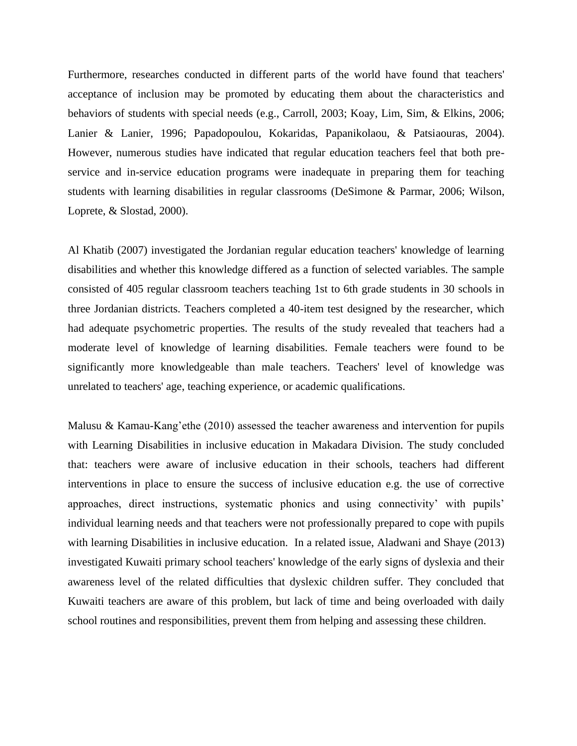Furthermore, researches conducted in different parts of the world have found that teachers' acceptance of inclusion may be promoted by educating them about the characteristics and behaviors of students with special needs (e.g., Carroll, 2003; Koay, Lim, Sim, & Elkins, 2006; Lanier & Lanier, 1996; Papadopoulou, Kokaridas, Papanikolaou, & Patsiaouras, 2004). However, numerous studies have indicated that regular education teachers feel that both preservice and in-service education programs were inadequate in preparing them for teaching students with learning disabilities in regular classrooms (DeSimone & Parmar, 2006; Wilson, Loprete, & Slostad, 2000).

Al Khatib (2007) investigated the Jordanian regular education teachers' knowledge of learning disabilities and whether this knowledge differed as a function of selected variables. The sample consisted of 405 regular classroom teachers teaching 1st to 6th grade students in 30 schools in three Jordanian districts. Teachers completed a 40-item test designed by the researcher, which had adequate psychometric properties. The results of the study revealed that teachers had a moderate level of knowledge of learning disabilities. Female teachers were found to be significantly more knowledgeable than male teachers. Teachers' level of knowledge was unrelated to teachers' age, teaching experience, or academic qualifications.

Malusu & Kamau-Kang'ethe (2010) assessed the teacher awareness and intervention for pupils with Learning Disabilities in inclusive education in Makadara Division. The study concluded that: teachers were aware of inclusive education in their schools, teachers had different interventions in place to ensure the success of inclusive education e.g. the use of corrective approaches, direct instructions, systematic phonics and using connectivity' with pupils' individual learning needs and that teachers were not professionally prepared to cope with pupils with learning Disabilities in inclusive education. In a related issue, Aladwani and Shaye (2013) investigated Kuwaiti primary school teachers' knowledge of the early signs of dyslexia and their awareness level of the related difficulties that dyslexic children suffer. They concluded that Kuwaiti teachers are aware of this problem, but lack of time and being overloaded with daily school routines and responsibilities, prevent them from helping and assessing these children.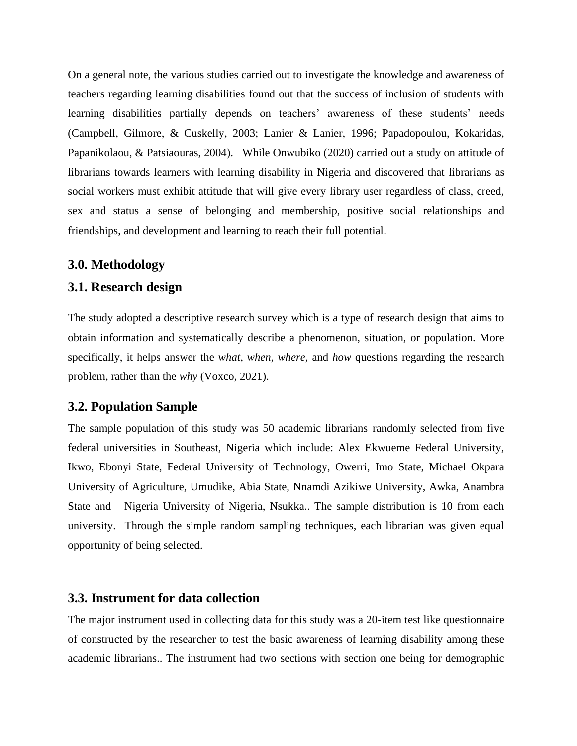On a general note, the various studies carried out to investigate the knowledge and awareness of teachers regarding learning disabilities found out that the success of inclusion of students with learning disabilities partially depends on teachers' awareness of these students' needs (Campbell, Gilmore, & Cuskelly, 2003; Lanier & Lanier, 1996; Papadopoulou, Kokaridas, Papanikolaou, & Patsiaouras, 2004). While Onwubiko (2020) carried out a study on attitude of librarians towards learners with learning disability in Nigeria and discovered that librarians as social workers must exhibit attitude that will give every library user regardless of class, creed, sex and status a sense of belonging and membership, positive social relationships and friendships, and development and learning to reach their full potential.

#### **3.0. Methodology**

#### **3.1. Research design**

The study adopted a descriptive research survey which is a type of research design that aims to obtain information and systematically describe a phenomenon, situation, or population. More specifically, it helps answer the *what*, *when*, *where*, and *how* questions regarding the research problem, rather than the *why* (Voxco, 2021).

#### **3.2. Population Sample**

The sample population of this study was 50 academic librarians randomly selected from five federal universities in Southeast, Nigeria which include: Alex Ekwueme Federal University, Ikwo, Ebonyi State, Federal University of Technology, Owerri, Imo State, Michael Okpara University of Agriculture, Umudike, Abia State, Nnamdi Azikiwe University, Awka, Anambra State and Nigeria University of Nigeria, Nsukka.. The sample distribution is 10 from each university. Through the simple random sampling techniques, each librarian was given equal opportunity of being selected.

#### **3.3. Instrument for data collection**

The major instrument used in collecting data for this study was a 20-item test like questionnaire of constructed by the researcher to test the basic awareness of learning disability among these academic librarians.. The instrument had two sections with section one being for demographic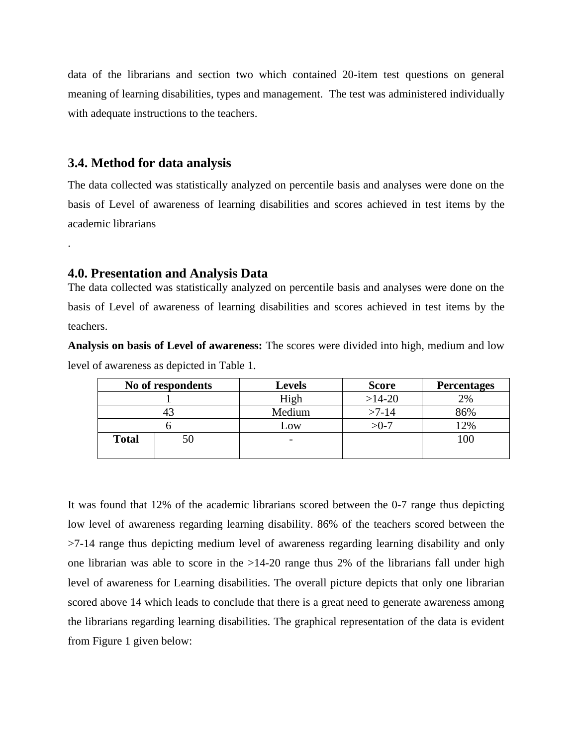data of the librarians and section two which contained 20-item test questions on general meaning of learning disabilities, types and management. The test was administered individually with adequate instructions to the teachers.

#### **3.4. Method for data analysis**

.

The data collected was statistically analyzed on percentile basis and analyses were done on the basis of Level of awareness of learning disabilities and scores achieved in test items by the academic librarians

#### **4.0. Presentation and Analysis Data**

The data collected was statistically analyzed on percentile basis and analyses were done on the basis of Level of awareness of learning disabilities and scores achieved in test items by the teachers.

**Analysis on basis of Level of awareness:** The scores were divided into high, medium and low level of awareness as depicted in Table 1.

| No of respondents |    | <b>Levels</b> | <b>Score</b> | <b>Percentages</b> |
|-------------------|----|---------------|--------------|--------------------|
|                   |    | High          | $>14-20$     | 2%                 |
|                   |    | Medium        | $>7-14$      | 86%                |
|                   |    | Low           | $>0-7$       | 2%                 |
| <b>Total</b>      | ЭU |               |              | 100                |

It was found that 12% of the academic librarians scored between the 0-7 range thus depicting low level of awareness regarding learning disability. 86% of the teachers scored between the >7-14 range thus depicting medium level of awareness regarding learning disability and only one librarian was able to score in the  $>14-20$  range thus 2% of the librarians fall under high level of awareness for Learning disabilities. The overall picture depicts that only one librarian scored above 14 which leads to conclude that there is a great need to generate awareness among the librarians regarding learning disabilities. The graphical representation of the data is evident from Figure 1 given below: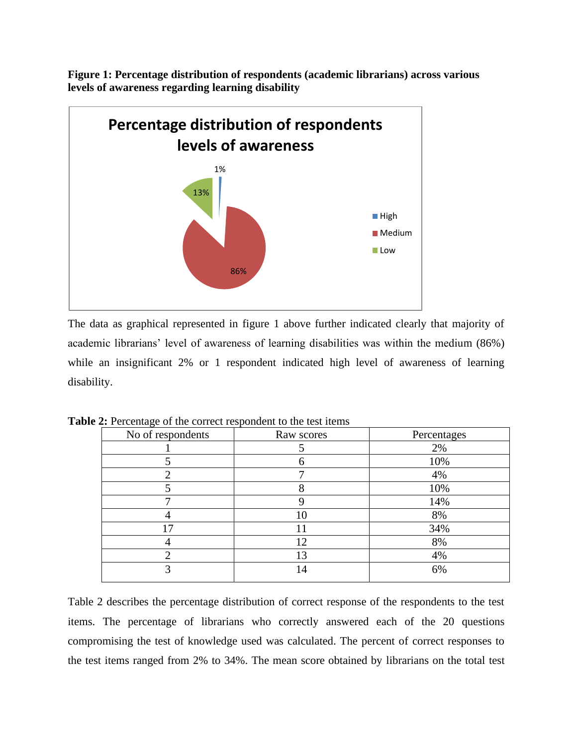

**Figure 1: Percentage distribution of respondents (academic librarians) across various levels of awareness regarding learning disability** 

The data as graphical represented in figure 1 above further indicated clearly that majority of academic librarians' level of awareness of learning disabilities was within the medium (86%) while an insignificant 2% or 1 respondent indicated high level of awareness of learning disability.

| No of respondents | Raw scores | Percentages |
|-------------------|------------|-------------|
|                   |            | 2%          |
|                   |            | 10%         |
|                   |            | 4%          |
|                   |            | 10%         |
|                   |            | 14%         |
|                   | 10         | 8%          |
| 17                |            | 34%         |
|                   | 12         | 8%          |
|                   | 13         | 4%          |
| 3                 | 14         | 6%          |
|                   |            |             |

**Table 2:** Percentage of the correct respondent to the test items

Table 2 describes the percentage distribution of correct response of the respondents to the test items. The percentage of librarians who correctly answered each of the 20 questions compromising the test of knowledge used was calculated. The percent of correct responses to the test items ranged from 2% to 34%. The mean score obtained by librarians on the total test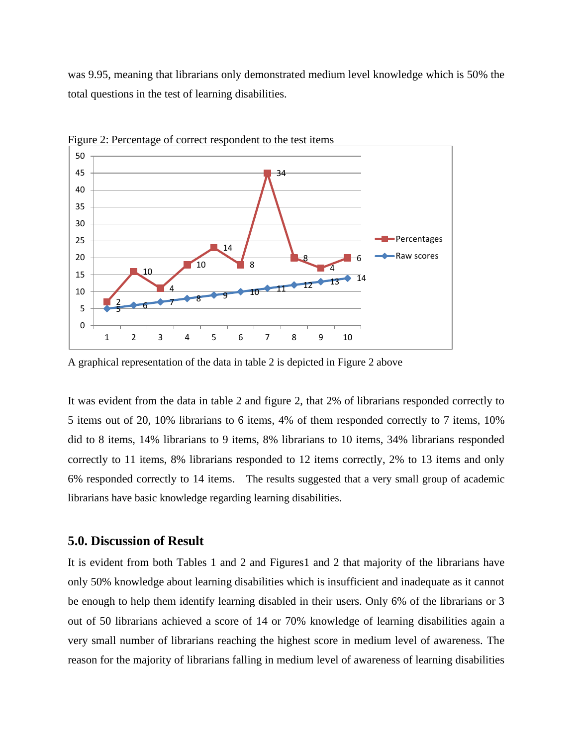was 9.95, meaning that librarians only demonstrated medium level knowledge which is 50% the total questions in the test of learning disabilities.



Figure 2: Percentage of correct respondent to the test items

A graphical representation of the data in table 2 is depicted in Figure 2 above

It was evident from the data in table 2 and figure 2, that 2% of librarians responded correctly to 5 items out of 20, 10% librarians to 6 items, 4% of them responded correctly to 7 items, 10% did to 8 items, 14% librarians to 9 items, 8% librarians to 10 items, 34% librarians responded correctly to 11 items, 8% librarians responded to 12 items correctly, 2% to 13 items and only 6% responded correctly to 14 items. The results suggested that a very small group of academic librarians have basic knowledge regarding learning disabilities.

#### **5.0. Discussion of Result**

It is evident from both Tables 1 and 2 and Figures1 and 2 that majority of the librarians have only 50% knowledge about learning disabilities which is insufficient and inadequate as it cannot be enough to help them identify learning disabled in their users. Only 6% of the librarians or 3 out of 50 librarians achieved a score of 14 or 70% knowledge of learning disabilities again a very small number of librarians reaching the highest score in medium level of awareness. The reason for the majority of librarians falling in medium level of awareness of learning disabilities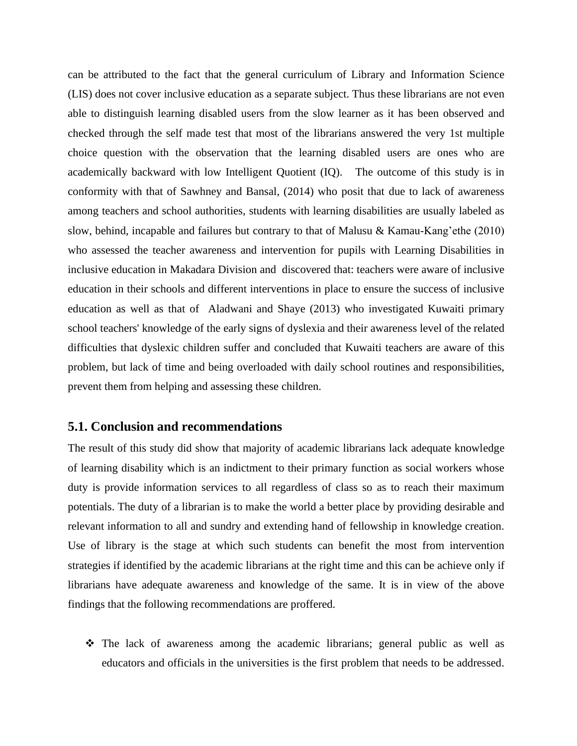can be attributed to the fact that the general curriculum of Library and Information Science (LIS) does not cover inclusive education as a separate subject. Thus these librarians are not even able to distinguish learning disabled users from the slow learner as it has been observed and checked through the self made test that most of the librarians answered the very 1st multiple choice question with the observation that the learning disabled users are ones who are academically backward with low Intelligent Quotient (IQ). The outcome of this study is in conformity with that of Sawhney and Bansal, (2014) who posit that due to lack of awareness among teachers and school authorities, students with learning disabilities are usually labeled as slow, behind, incapable and failures but contrary to that of Malusu & Kamau-Kang'ethe (2010) who assessed the teacher awareness and intervention for pupils with Learning Disabilities in inclusive education in Makadara Division and discovered that: teachers were aware of inclusive education in their schools and different interventions in place to ensure the success of inclusive education as well as that of Aladwani and Shaye (2013) who investigated Kuwaiti primary school teachers' knowledge of the early signs of dyslexia and their awareness level of the related difficulties that dyslexic children suffer and concluded that Kuwaiti teachers are aware of this problem, but lack of time and being overloaded with daily school routines and responsibilities, prevent them from helping and assessing these children.

#### **5.1. Conclusion and recommendations**

The result of this study did show that majority of academic librarians lack adequate knowledge of learning disability which is an indictment to their primary function as social workers whose duty is provide information services to all regardless of class so as to reach their maximum potentials. The duty of a librarian is to make the world a better place by providing desirable and relevant information to all and sundry and extending hand of fellowship in knowledge creation. Use of library is the stage at which such students can benefit the most from intervention strategies if identified by the academic librarians at the right time and this can be achieve only if librarians have adequate awareness and knowledge of the same. It is in view of the above findings that the following recommendations are proffered.

❖ The lack of awareness among the academic librarians; general public as well as educators and officials in the universities is the first problem that needs to be addressed.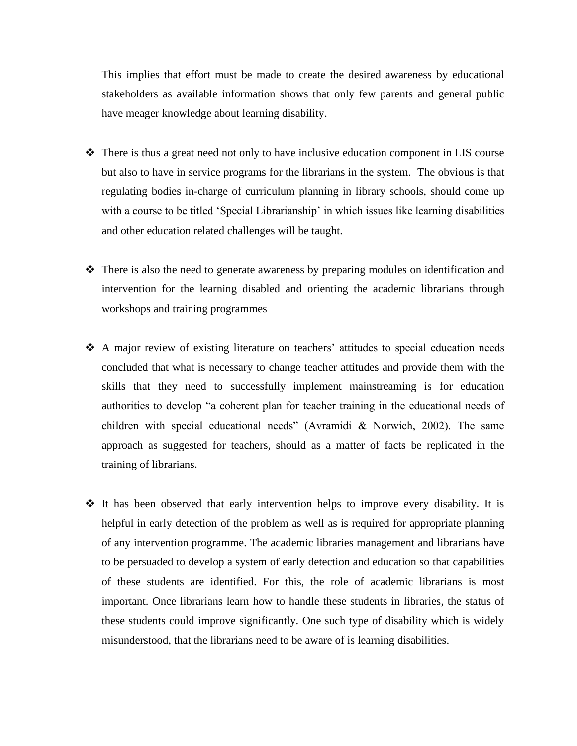This implies that effort must be made to create the desired awareness by educational stakeholders as available information shows that only few parents and general public have meager knowledge about learning disability.

- ❖ There is thus a great need not only to have inclusive education component in LIS course but also to have in service programs for the librarians in the system. The obvious is that regulating bodies in-charge of curriculum planning in library schools, should come up with a course to be titled 'Special Librarianship' in which issues like learning disabilities and other education related challenges will be taught.
- ❖ There is also the need to generate awareness by preparing modules on identification and intervention for the learning disabled and orienting the academic librarians through workshops and training programmes
- ❖ A major review of existing literature on teachers' attitudes to special education needs concluded that what is necessary to change teacher attitudes and provide them with the skills that they need to successfully implement mainstreaming is for education authorities to develop "a coherent plan for teacher training in the educational needs of children with special educational needs" (Avramidi & Norwich, 2002). The same approach as suggested for teachers, should as a matter of facts be replicated in the training of librarians.
- ❖ It has been observed that early intervention helps to improve every disability. It is helpful in early detection of the problem as well as is required for appropriate planning of any intervention programme. The academic libraries management and librarians have to be persuaded to develop a system of early detection and education so that capabilities of these students are identified. For this, the role of academic librarians is most important. Once librarians learn how to handle these students in libraries, the status of these students could improve significantly. One such type of disability which is widely misunderstood, that the librarians need to be aware of is learning disabilities.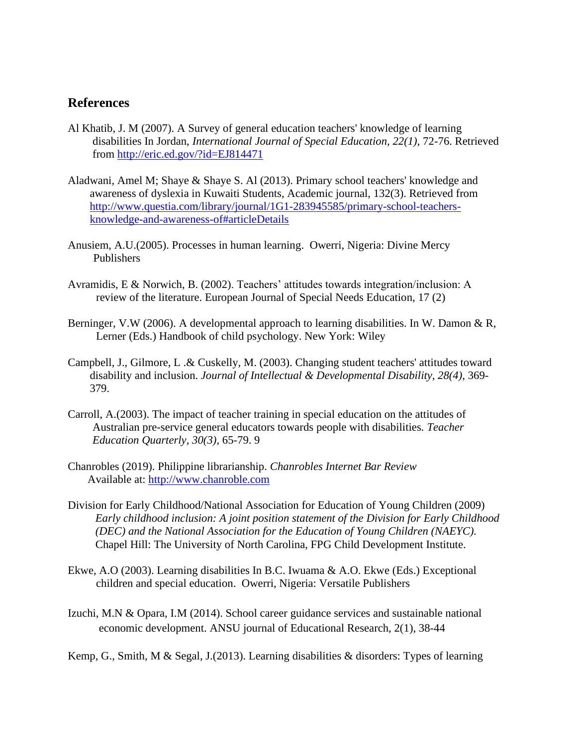#### **References**

- Al Khatib, J. M (2007). A Survey of general education teachers' knowledge of learning disabilities In Jordan, *International Journal of Special Education, 22(1),* 72-76. Retrieved from<http://eric.ed.gov/?id=EJ814471>
- Aladwani, Amel M; Shaye & Shaye S. Al (2013). Primary school teachers' knowledge and awareness of dyslexia in Kuwaiti Students, Academic journal, 132(3). Retrieved from [http://www.questia.com/library/journal/1G1-283945585/primary-school-teachers](http://www.questia.com/library/journal/1G1-283945585/primary-school-teachers-knowledge-and-awareness-of#articleDetails)[knowledge-and-awareness-of#articleDetails](http://www.questia.com/library/journal/1G1-283945585/primary-school-teachers-knowledge-and-awareness-of#articleDetails)
- Anusiem, A.U.(2005). Processes in human learning. Owerri, Nigeria: Divine Mercy Publishers
- Avramidis, E & Norwich, B. (2002). Teachers' attitudes towards integration/inclusion: A review of the literature. European Journal of Special Needs Education, 17 (2)
- Berninger, V.W (2006). A developmental approach to learning disabilities. In W. Damon & R, Lerner (Eds.) Handbook of child psychology. New York: Wiley
- Campbell, J., Gilmore, L .& Cuskelly, M. (2003). Changing student teachers' attitudes toward disability and inclusion. *Journal of Intellectual & Developmental Disability, 28(4),* 369- 379.
- Carroll, A.(2003). The impact of teacher training in special education on the attitudes of Australian pre-service general educators towards people with disabilities*. Teacher Education Quarterly, 30(3),* 65-79. 9
- Chanrobles (2019). Philippine librarianship. *Chanrobles Internet Bar Review* Available at: [http://www.chanroble.com](http://www.chanroble.com/)
- Division for Early Childhood/National Association for Education of Young Children (2009) *Early childhood inclusion: A joint position statement of the Division for Early Childhood (DEC) and the National Association for the Education of Young Children (NAEYC).*  Chapel Hill: The University of North Carolina, FPG Child Development Institute.
- Ekwe, A.O (2003). Learning disabilities In B.C. Iwuama & A.O. Ekwe (Eds.) Exceptional children and special education. Owerri, Nigeria: Versatile Publishers
- Izuchi, M.N & Opara, I.M (2014). School career guidance services and sustainable national economic development. ANSU journal of Educational Research, 2(1), 38-44

Kemp, G., Smith, M & Segal, J.(2013). Learning disabilities & disorders: Types of learning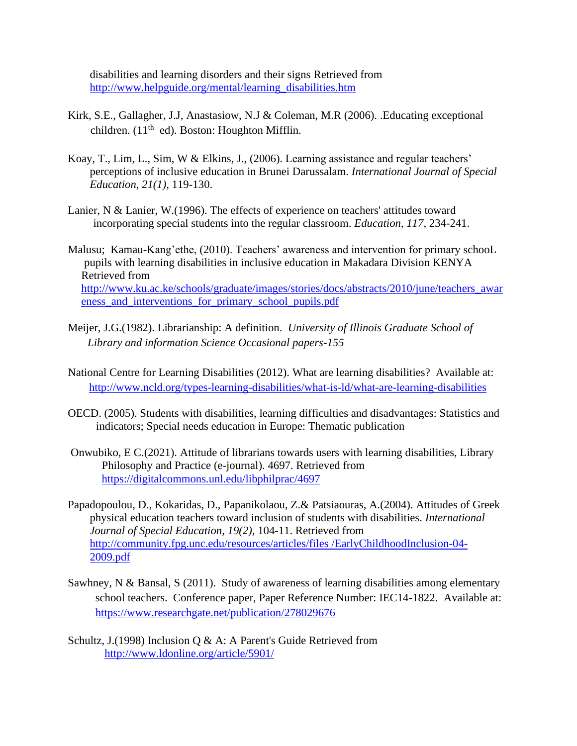disabilities and learning disorders and their signs Retrieved from [http://www.helpguide.org/mental/learning\\_disabilities.htm](http://www.helpguide.org/mental/learning_disabilities.htm)

- Kirk, S.E., Gallagher, J.J, Anastasiow, N.J & Coleman, M.R (2006). .Educating exceptional children. (11<sup>th</sup> ed). Boston: Houghton Mifflin.
- Koay, T., Lim, L., Sim, W & Elkins, J., (2006). Learning assistance and regular teachers' perceptions of inclusive education in Brunei Darussalam. *International Journal of Special Education, 21(1),* 119-130.
- Lanier, N & Lanier, W.(1996). The effects of experience on teachers' attitudes toward incorporating special students into the regular classroom. *Education, 117*, 234-241.
- Malusu; Kamau-Kang'ethe, (2010). Teachers' awareness and intervention for primary schooL pupils with learning disabilities in inclusive education in Makadara Division KENYA Retrieved from [http://www.ku.ac.ke/schools/graduate/images/stories/docs/abstracts/2010/june/teachers\\_awar](http://www.ku.ac.ke/schools/graduate/images/stories/docs/abstracts/2010/june/teachers_awareness_and_interventions_for_primary_school_pupils.pdf) eness and interventions for primary school pupils.pdf
- Meijer, J.G.(1982). Librarianship: A definition. *University of Illinois Graduate School of Library and information Science Occasional papers-155*
- National Centre for Learning Disabilities (2012). What are learning disabilities? Available at: <http://www.ncld.org/types-learning-disabilities/what-is-ld/what-are-learning-disabilities>
- OECD. (2005). Students with disabilities, learning difficulties and disadvantages: Statistics and indicators; Special needs education in Europe: Thematic publication
- Onwubiko, E C.(2021). Attitude of librarians towards users with learning disabilities, Library Philosophy and Practice (e-journal). 4697. Retrieved from <https://digitalcommons.unl.edu/libphilprac/4697>
- Papadopoulou, D., Kokaridas, D., Papanikolaou, Z.& Patsiaouras, A.(2004). Attitudes of Greek physical education teachers toward inclusion of students with disabilities. *International Journal of Special Education, 19(2)*, 104-11. Retrieved from [http://community.fpg.unc.edu/resources/articles/files /EarlyChildhoodInclusion-04-](http://community.fpg.unc.edu/resources/articles/files%20/EarlyChildhoodInclusion-04-2009.pdf) [2009.pdf](http://community.fpg.unc.edu/resources/articles/files%20/EarlyChildhoodInclusion-04-2009.pdf)
- Sawhney, N & Bansal, S (2011). Study of awareness of learning disabilities among elementary school teachers. Conference paper, Paper Reference Number: IEC14-1822. Available at: <https://www.researchgate.net/publication/278029676>
- Schultz, J.(1998) Inclusion Q & A: A Parent's Guide Retrieved from <http://www.ldonline.org/article/5901/>